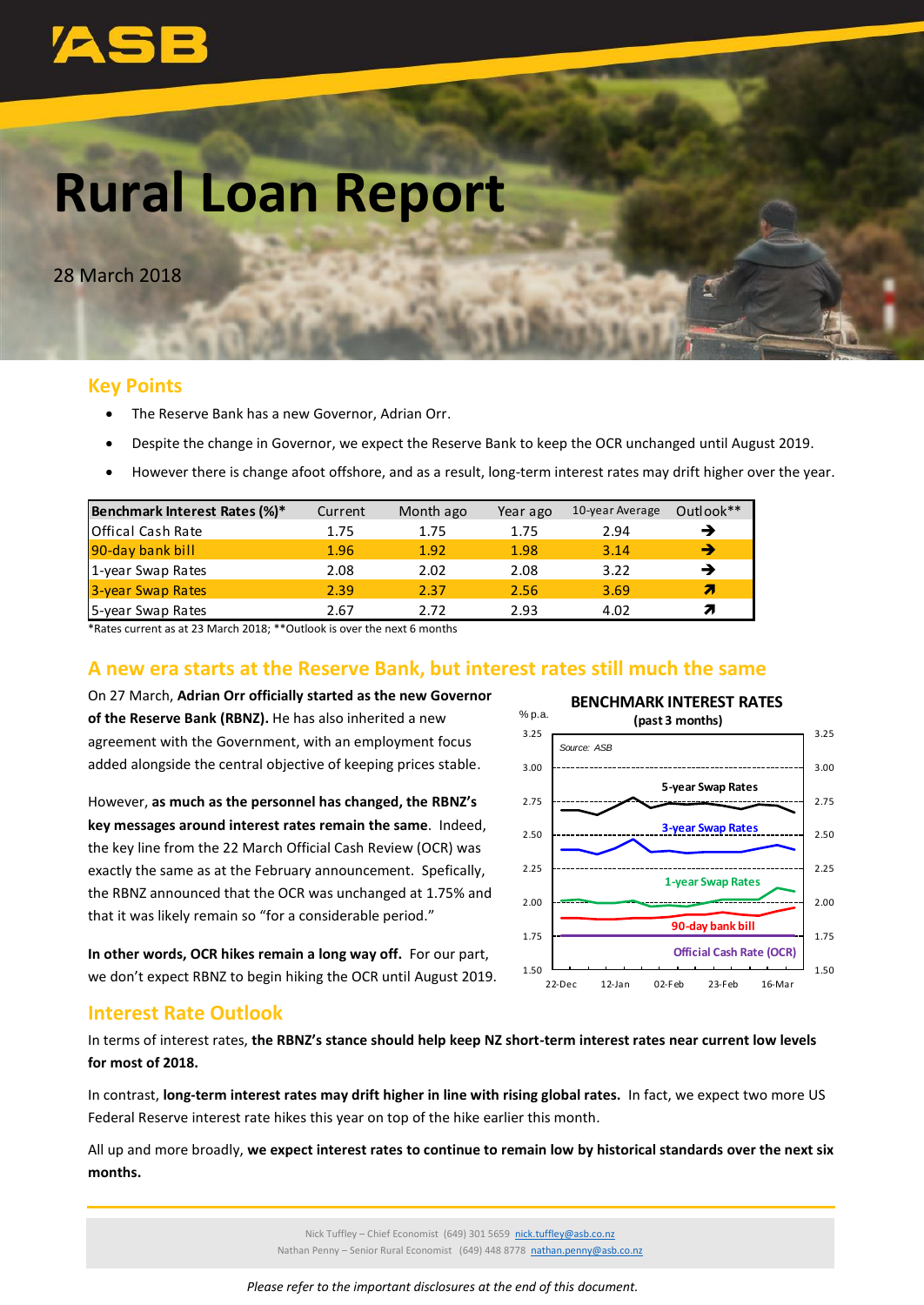

# **Rural Loan Report**

28 March 2018

# **Key Points**

- The Reserve Bank has a new Governor, Adrian Orr.
- Despite the change in Governor, we expect the Reserve Bank to keep the OCR unchanged until August 2019.
- However there is change afoot offshore, and as a result, long-term interest rates may drift higher over the year.

| Benchmark Interest Rates (%)* | Current | Month ago | Year ago | 10-year Average | Outlook** |
|-------------------------------|---------|-----------|----------|-----------------|-----------|
| Offical Cash Rate             | 1.75    | 1.75      | 1.75     | 2.94            |           |
| 90-day bank bill              | 1.96    | 1.92      | 1.98     | 3.14            | →         |
| 1-year Swap Rates             | 2.08    | 2.02      | 2.08     | 3.22            |           |
| 3-year Swap Rates             | 2.39    | 2.37      | 2.56     | 3.69            | Я         |
| 5-year Swap Rates             | 2.67    | 2 72      | 2.93     | 4.02            |           |

\*Rates current as at 23 March 2018; \*\*Outlook is over the next 6 months

# **A new era starts at the Reserve Bank, but interest rates still much the same**

On 27 March, **Adrian Orr officially started as the new Governor of the Reserve Bank (RBNZ).** He has also inherited a new agreement with the Government, with an employment focus added alongside the central objective of keeping prices stable.

However, **as much as the personnel has changed, the RBNZ's key messages around interest rates remain the same**. Indeed, the key line from the 22 March Official Cash Review (OCR) was exactly the same as at the February announcement. Spefically, the RBNZ announced that the OCR was unchanged at 1.75% and that it was likely remain so "for a considerable period."

**In other words, OCR hikes remain a long way off.** For our part, we don't expect RBNZ to begin hiking the OCR until August 2019.



# **Interest Rate Outlook**

In terms of interest rates, **the RBNZ's stance should help keep NZ short-term interest rates near current low levels for most of 2018.** 

In contrast, **long-term interest rates may drift higher in line with rising global rates.** In fact, we expect two more US Federal Reserve interest rate hikes this year on top of the hike earlier this month.

All up and more broadly, **we expect interest rates to continue to remain low by historical standards over the next six months.**

> Nick Tuffley – Chief Economist (649) 301 5659 [nick.tuffley@asb.co.nz](mailto:nick.tuffley@asb.co.nz) Nathan Penny – Senior Rural Economist (649) 448 8778 [nathan.penny@asb.co.nz](mailto:nathan.penny@asb.co.nz)